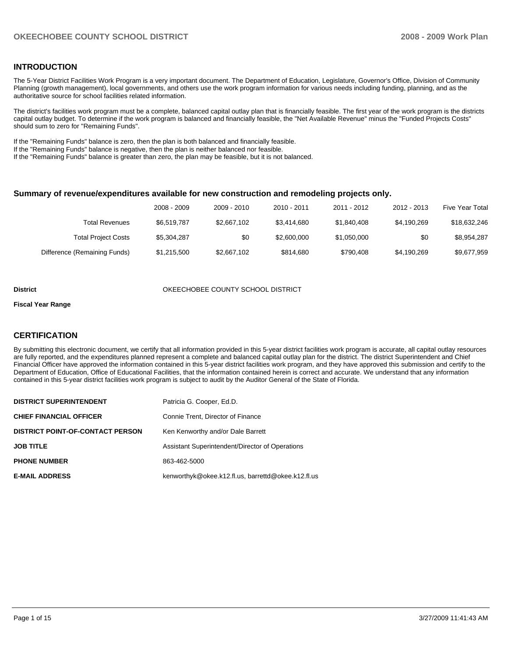## **INTRODUCTION**

The 5-Year District Facilities Work Program is a very important document. The Department of Education, Legislature, Governor's Office, Division of Community Planning (growth management), local governments, and others use the work program information for various needs including funding, planning, and as the authoritative source for school facilities related information.

The district's facilities work program must be a complete, balanced capital outlay plan that is financially feasible. The first year of the work program is the districts capital outlay budget. To determine if the work program is balanced and financially feasible, the "Net Available Revenue" minus the "Funded Projects Costs" should sum to zero for "Remaining Funds".

If the "Remaining Funds" balance is zero, then the plan is both balanced and financially feasible.

If the "Remaining Funds" balance is negative, then the plan is neither balanced nor feasible.

If the "Remaining Funds" balance is greater than zero, the plan may be feasible, but it is not balanced.

#### **Summary of revenue/expenditures available for new construction and remodeling projects only.**

| <b>Five Year Total</b> | 2012 - 2013 | 2011 - 2012 | 2010 - 2011 | 2009 - 2010 | 2008 - 2009 |                              |
|------------------------|-------------|-------------|-------------|-------------|-------------|------------------------------|
| \$18,632,246           | \$4.190.269 | \$1,840,408 | \$3.414.680 | \$2,667,102 | \$6.519.787 | Total Revenues               |
| \$8,954,287            | \$0         | \$1,050,000 | \$2,600,000 | \$0         | \$5,304,287 | <b>Total Project Costs</b>   |
| \$9,677,959            | \$4,190,269 | \$790.408   | \$814,680   | \$2,667,102 | \$1,215,500 | Difference (Remaining Funds) |

#### **District COUNTY SCHOOL DISTRICT COUNTY SCHOOL DISTRICT**

#### **Fiscal Year Range**

### **CERTIFICATION**

By submitting this electronic document, we certify that all information provided in this 5-year district facilities work program is accurate, all capital outlay resources are fully reported, and the expenditures planned represent a complete and balanced capital outlay plan for the district. The district Superintendent and Chief Financial Officer have approved the information contained in this 5-year district facilities work program, and they have approved this submission and certify to the Department of Education, Office of Educational Facilities, that the information contained herein is correct and accurate. We understand that any information contained in this 5-year district facilities work program is subject to audit by the Auditor General of the State of Florida.

| <b>DISTRICT SUPERINTENDENT</b>          | Patricia G. Cooper, Ed.D.                          |
|-----------------------------------------|----------------------------------------------------|
| <b>CHIEF FINANCIAL OFFICER</b>          | Connie Trent, Director of Finance                  |
| <b>DISTRICT POINT-OF-CONTACT PERSON</b> | Ken Kenworthy and/or Dale Barrett                  |
| <b>JOB TITLE</b>                        | Assistant Superintendent/Director of Operations    |
| <b>PHONE NUMBER</b>                     | 863-462-5000                                       |
| <b>E-MAIL ADDRESS</b>                   | kenworthyk@okee.k12.fl.us, barrettd@okee.k12.fl.us |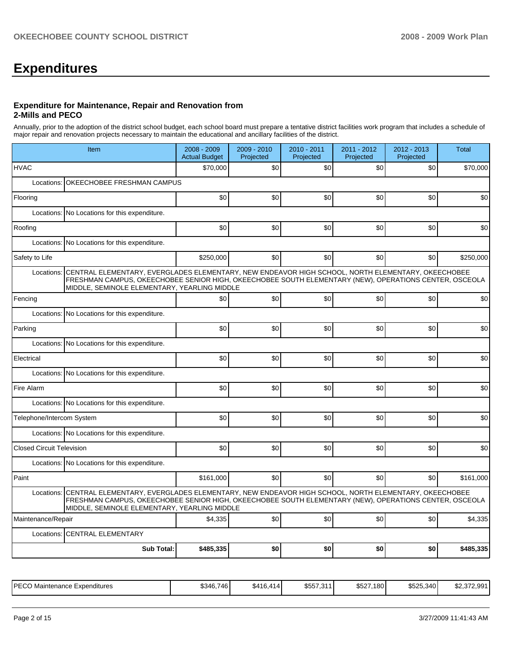# **Expenditures**

#### **Expenditure for Maintenance, Repair and Renovation from 2-Mills and PECO**

Annually, prior to the adoption of the district school budget, each school board must prepare a tentative district facilities work program that includes a schedule of major repair and renovation projects necessary to maintain the educational and ancillary facilities of the district.

|                                  | Item                                                                                                                                                                                                                                                        | 2008 - 2009<br><b>Actual Budget</b> | 2009 - 2010<br>Projected | 2010 - 2011<br>Projected | 2011 - 2012<br>Projected | 2012 - 2013<br>Projected | <b>Total</b> |  |  |  |  |
|----------------------------------|-------------------------------------------------------------------------------------------------------------------------------------------------------------------------------------------------------------------------------------------------------------|-------------------------------------|--------------------------|--------------------------|--------------------------|--------------------------|--------------|--|--|--|--|
| <b>HVAC</b>                      |                                                                                                                                                                                                                                                             | \$70,000                            | \$0                      | \$0                      | \$0 <sub>1</sub>         | \$0                      | \$70,000     |  |  |  |  |
| Locations:                       | OKEECHOBEE FRESHMAN CAMPUS                                                                                                                                                                                                                                  |                                     |                          |                          |                          |                          |              |  |  |  |  |
| Flooring                         |                                                                                                                                                                                                                                                             | \$0                                 | \$0                      | \$0                      | \$0                      | \$0                      | \$0          |  |  |  |  |
| Locations:                       | No Locations for this expenditure.                                                                                                                                                                                                                          |                                     |                          |                          |                          |                          |              |  |  |  |  |
| Roofing                          |                                                                                                                                                                                                                                                             | \$0                                 | \$0                      | \$0                      | \$0                      | \$0                      | \$0          |  |  |  |  |
| Locations:                       | No Locations for this expenditure.                                                                                                                                                                                                                          |                                     |                          |                          |                          |                          |              |  |  |  |  |
| Safety to Life                   |                                                                                                                                                                                                                                                             | \$250,000                           | \$0                      | \$0                      | \$0                      | \$0                      | \$250,000    |  |  |  |  |
| Locations:                       | CENTRAL ELEMENTARY, EVERGLADES ELEMENTARY, NEW ENDEAVOR HIGH SCHOOL, NORTH ELEMENTARY, OKEECHOBEE<br>FRESHMAN CAMPUS, OKEECHOBEE SENIOR HIGH, OKEECHOBEE SOUTH ELEMENTARY (NEW), OPERATIONS CENTER, OSCEOLA<br>MIDDLE, SEMINOLE ELEMENTARY, YEARLING MIDDLE |                                     |                          |                          |                          |                          |              |  |  |  |  |
| Fencing                          |                                                                                                                                                                                                                                                             | \$0                                 | \$0                      | \$0                      | \$0                      | \$0                      | \$0          |  |  |  |  |
| Locations:                       | No Locations for this expenditure.                                                                                                                                                                                                                          |                                     |                          |                          |                          |                          |              |  |  |  |  |
| Parking                          |                                                                                                                                                                                                                                                             | \$0                                 | \$0                      | \$0                      | \$0                      | \$0                      | \$0          |  |  |  |  |
| Locations:                       | No Locations for this expenditure.                                                                                                                                                                                                                          |                                     |                          |                          |                          |                          |              |  |  |  |  |
| Electrical                       |                                                                                                                                                                                                                                                             | \$0                                 | \$0                      | \$0                      | \$0                      | \$0                      | \$0          |  |  |  |  |
|                                  | Locations: No Locations for this expenditure.                                                                                                                                                                                                               |                                     |                          |                          |                          |                          |              |  |  |  |  |
| Fire Alarm                       |                                                                                                                                                                                                                                                             | \$0                                 | \$0                      | \$0                      | \$0                      | \$0                      | \$0          |  |  |  |  |
|                                  | Locations: No Locations for this expenditure.                                                                                                                                                                                                               |                                     |                          |                          |                          |                          |              |  |  |  |  |
| Telephone/Intercom System        |                                                                                                                                                                                                                                                             | \$0                                 | \$0                      | \$0                      | \$0                      | \$0                      | \$0          |  |  |  |  |
|                                  | Locations: No Locations for this expenditure.                                                                                                                                                                                                               |                                     |                          |                          |                          |                          |              |  |  |  |  |
| <b>Closed Circuit Television</b> |                                                                                                                                                                                                                                                             | \$0                                 | \$0                      | \$0                      | \$0 <sub>1</sub>         | \$0                      | \$0          |  |  |  |  |
|                                  | Locations: No Locations for this expenditure.                                                                                                                                                                                                               |                                     |                          |                          |                          |                          |              |  |  |  |  |
| Paint                            |                                                                                                                                                                                                                                                             | \$161,000                           | \$0                      | \$0                      | \$0                      | \$0                      | \$161,000    |  |  |  |  |
| Locations:                       | CENTRAL ELEMENTARY, EVERGLADES ELEMENTARY, NEW ENDEAVOR HIGH SCHOOL, NORTH ELEMENTARY, OKEECHOBEE<br>FRESHMAN CAMPUS, OKEECHOBEE SENIOR HIGH, OKEECHOBEE SOUTH ELEMENTARY (NEW), OPERATIONS CENTER, OSCEOLA<br>MIDDLE, SEMINOLE ELEMENTARY, YEARLING MIDDLE |                                     |                          |                          |                          |                          |              |  |  |  |  |
| Maintenance/Repair               |                                                                                                                                                                                                                                                             | \$4,335                             | \$0                      | \$0                      | \$0                      | \$0                      | \$4,335      |  |  |  |  |
|                                  | Locations: CENTRAL ELEMENTARY                                                                                                                                                                                                                               |                                     |                          |                          |                          |                          |              |  |  |  |  |
|                                  | <b>Sub Total:</b>                                                                                                                                                                                                                                           | \$485,335                           | \$0                      | \$0                      | \$0                      | \$0                      | \$485,335    |  |  |  |  |
|                                  |                                                                                                                                                                                                                                                             |                                     |                          |                          |                          |                          |              |  |  |  |  |

| IPECO.<br>Aaintenance F<br>: Expenditures<br>└─ | \$346.746<br>⊎∪⊤∪ | \$416.<br>.414 | \$557,311 | \$527,180 | \$525,340 | <b>CO 070.004</b><br>. .<br>DZ.31Z.99 |
|-------------------------------------------------|-------------------|----------------|-----------|-----------|-----------|---------------------------------------|
|-------------------------------------------------|-------------------|----------------|-----------|-----------|-----------|---------------------------------------|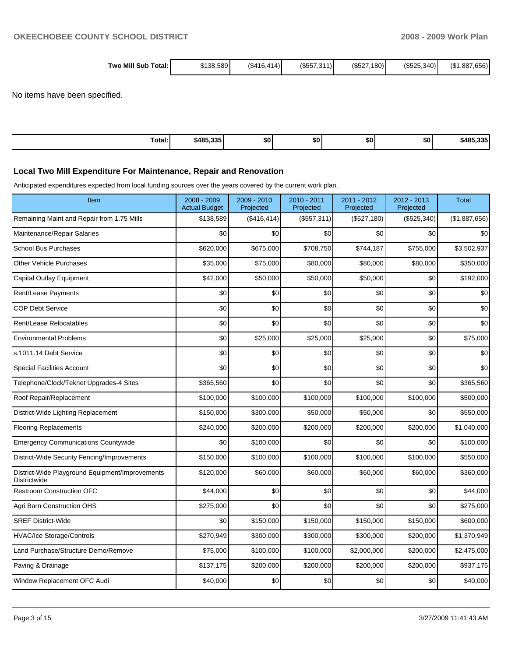| Two Mill Sub<br>Total: | \$138,589 | (S416.414) | (S557.311) | (\$527.<br>180 | (S525.340) | (\$1,887,656) |
|------------------------|-----------|------------|------------|----------------|------------|---------------|
|------------------------|-----------|------------|------------|----------------|------------|---------------|

No items have been specified.

| Total: | \$485.335 | <b>SO</b> | \$0 | \$0 | \$OI | AOP<br>22E<br>. |
|--------|-----------|-----------|-----|-----|------|-----------------|

## **Local Two Mill Expenditure For Maintenance, Repair and Renovation**

Anticipated expenditures expected from local funding sources over the years covered by the current work plan.

| Item                                                                   | 2008 - 2009<br><b>Actual Budget</b> | 2009 - 2010<br>Projected | 2010 - 2011<br>Projected | 2011 - 2012<br>Projected | 2012 - 2013<br>Projected | Total         |
|------------------------------------------------------------------------|-------------------------------------|--------------------------|--------------------------|--------------------------|--------------------------|---------------|
| Remaining Maint and Repair from 1.75 Mills                             | \$138,589                           | (\$416,414)              | (\$557,311)              | (\$527,180)              | (\$525,340)              | (\$1,887,656) |
| Maintenance/Repair Salaries                                            | \$0                                 | \$0                      | \$0                      | \$0                      | \$0                      | \$0           |
| <b>School Bus Purchases</b>                                            | \$620,000                           | \$675,000                | \$708,750                | \$744,187                | \$755,000                | \$3,502,937   |
| <b>Other Vehicle Purchases</b>                                         | \$35,000                            | \$75,000                 | \$80,000                 | \$80,000                 | \$80,000                 | \$350,000     |
| Capital Outlay Equipment                                               | \$42,000                            | \$50,000                 | \$50,000                 | \$50,000                 | \$0                      | \$192,000     |
| Rent/Lease Payments                                                    | \$0                                 | \$0                      | \$0                      | \$0                      | \$0                      | \$0           |
| <b>COP Debt Service</b>                                                | \$0                                 | \$0                      | \$0                      | \$0                      | \$0                      | \$0           |
| Rent/Lease Relocatables                                                | \$0                                 | \$0                      | \$0                      | \$0                      | \$0                      | \$0           |
| <b>Environmental Problems</b>                                          | \$0                                 | \$25,000                 | \$25,000                 | \$25,000                 | \$0                      | \$75,000      |
| s.1011.14 Debt Service                                                 | \$0                                 | \$0                      | \$0                      | \$0                      | \$0                      | \$0           |
| <b>Special Facilities Account</b>                                      | \$0                                 | \$0                      | \$0                      | \$0                      | \$0                      | \$0           |
| Telephone/Clock/Teknet Upgrades-4 Sites                                | \$365,560                           | \$0                      | \$0                      | \$0                      | \$0                      | \$365,560     |
| Roof Repair/Replacement                                                | \$100,000                           | \$100,000                | \$100,000                | \$100,000                | \$100,000                | \$500,000     |
| District-Wide Lighting Replacement                                     | \$150,000                           | \$300,000                | \$50,000                 | \$50,000                 | \$0                      | \$550,000     |
| <b>Flooring Replacements</b>                                           | \$240,000                           | \$200,000                | \$200,000                | \$200,000                | \$200,000                | \$1,040,000   |
| <b>Emergency Communications Countywide</b>                             | \$0                                 | \$100,000                | \$0                      | \$0                      | \$0                      | \$100,000     |
| District-Wide Security Fencing/Improvements                            | \$150,000                           | \$100,000                | \$100,000                | \$100,000                | \$100,000                | \$550,000     |
| District-Wide Playground Equipment/Improvements<br><b>Districtwide</b> | \$120,000                           | \$60,000                 | \$60,000                 | \$60,000                 | \$60,000                 | \$360,000     |
| <b>Restroom Construction OFC</b>                                       | \$44,000                            | \$0                      | \$0                      | \$0                      | \$0                      | \$44,000      |
| Agri Barn Construction OHS                                             | \$275,000                           | \$0                      | \$0                      | \$0                      | \$0                      | \$275,000     |
| <b>SREF District-Wide</b>                                              | \$0                                 | \$150,000                | \$150,000                | \$150,000                | \$150,000                | \$600,000     |
| <b>HVAC/Ice Storage/Controls</b>                                       | \$270,949                           | \$300,000                | \$300,000                | \$300,000                | \$200,000                | \$1,370,949   |
| Land Purchase/Structure Demo/Remove                                    | \$75,000                            | \$100,000                | \$100,000                | \$2,000,000              | \$200,000                | \$2,475,000   |
| Paving & Drainage                                                      | \$137,175                           | \$200,000                | \$200,000                | \$200,000                | \$200,000                | \$937,175     |
| Window Replacement OFC Audi                                            | \$40,000                            | \$0                      | \$0                      | \$0                      | \$0                      | \$40,000      |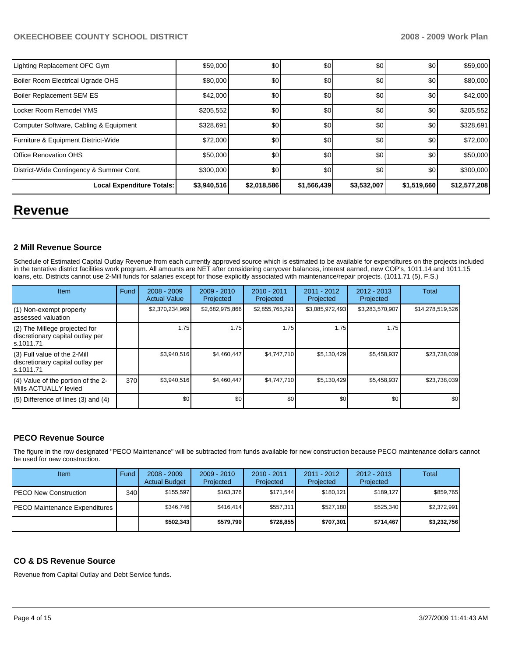## OKEECHOBEE COUNTY SCHOOL DISTRICT **2008 - 2008 - 2009 Work Plan**

| Lighting Replacement OFC Gym             | \$59,000    | \$0         | \$0         | \$0         | \$0         | \$59,000     |
|------------------------------------------|-------------|-------------|-------------|-------------|-------------|--------------|
| Boiler Room Electrical Ugrade OHS        | \$80,000    | \$0         | \$0         | \$0         | \$0         | \$80,000     |
| Boiler Replacement SEM ES                | \$42,000    | \$0         | \$0         | \$0         | \$0         | \$42,000     |
| Locker Room Remodel YMS                  | \$205,552   | \$0         | \$0         | \$0         | \$0         | \$205,552    |
| Computer Software, Cabling & Equipment   | \$328,691   | \$0         | \$0         | \$0         | \$0         | \$328,691    |
| Furniture & Equipment District-Wide      | \$72,000    | \$0         | \$0         | \$0         | \$0         | \$72,000     |
| Office Renovation OHS                    | \$50,000    | \$0         | \$0         | \$0         | \$0         | \$50,000     |
| District-Wide Contingency & Summer Cont. | \$300,000   | \$0         | \$0         | \$0         | \$0         | \$300,000    |
| <b>Local Expenditure Totals:</b>         | \$3,940,516 | \$2,018,586 | \$1,566,439 | \$3,532,007 | \$1,519,660 | \$12,577,208 |

## **Revenue**

### **2 Mill Revenue Source**

Schedule of Estimated Capital Outlay Revenue from each currently approved source which is estimated to be available for expenditures on the projects included in the tentative district facilities work program. All amounts are NET after considering carryover balances, interest earned, new COP's, 1011.14 and 1011.15 loans, etc. Districts cannot use 2-Mill funds for salaries except for those explicitly associated with maintenance/repair projects. (1011.71 (5), F.S.)

| Item                                                                            | Fund | $2008 - 2009$<br><b>Actual Value</b> | $2009 - 2010$<br>Projected | $2010 - 2011$<br>Projected | $2011 - 2012$<br>Projected | $2012 - 2013$<br>Projected | <b>Total</b>     |
|---------------------------------------------------------------------------------|------|--------------------------------------|----------------------------|----------------------------|----------------------------|----------------------------|------------------|
| (1) Non-exempt property<br>assessed valuation                                   |      | \$2,370,234,969                      | \$2,682,975,866            | \$2,855,765,291            | \$3,085,972,493            | \$3,283,570,907            | \$14,278,519,526 |
| (2) The Millege projected for<br>discretionary capital outlay per<br>ls.1011.71 |      | 1.75                                 | 1.75                       | 1.75                       | 1.75                       | 1.75                       |                  |
| (3) Full value of the 2-Mill<br>discretionary capital outlay per<br>ls.1011.71  |      | \$3,940,516                          | \$4,460,447                | \$4,747,710                | \$5,130,429                | \$5,458,937                | \$23,738,039     |
| (4) Value of the portion of the 2-<br>Mills ACTUALLY levied                     | 370  | \$3,940,516                          | \$4,460,447                | \$4,747,710                | \$5,130,429                | \$5,458,937                | \$23,738,039     |
| $(5)$ Difference of lines $(3)$ and $(4)$                                       |      | \$0                                  | \$0                        | \$0                        | \$0                        | \$0                        | \$0              |

## **PECO Revenue Source**

The figure in the row designated "PECO Maintenance" will be subtracted from funds available for new construction because PECO maintenance dollars cannot be used for new construction.

| Item                                 | Fund | $2008 - 2009$<br><b>Actual Budget</b> | $2009 - 2010$<br>Projected | $2010 - 2011$<br>Projected | 2011 - 2012<br>Projected | $2012 - 2013$<br>Projected | Total       |
|--------------------------------------|------|---------------------------------------|----------------------------|----------------------------|--------------------------|----------------------------|-------------|
| IPECO New Construction               | 340  | \$155.597                             | \$163,376                  | \$171.544                  | \$180.121                | \$189.127                  | \$859,765   |
| <b>PECO Maintenance Expenditures</b> |      | \$346.746                             | \$416.414                  | \$557.311                  | \$527.180                | \$525.340                  | \$2.372.991 |
|                                      |      | \$502,343                             | \$579,790                  | \$728.855                  | \$707,301                | \$714,467                  | \$3,232,756 |

### **CO & DS Revenue Source**

Revenue from Capital Outlay and Debt Service funds.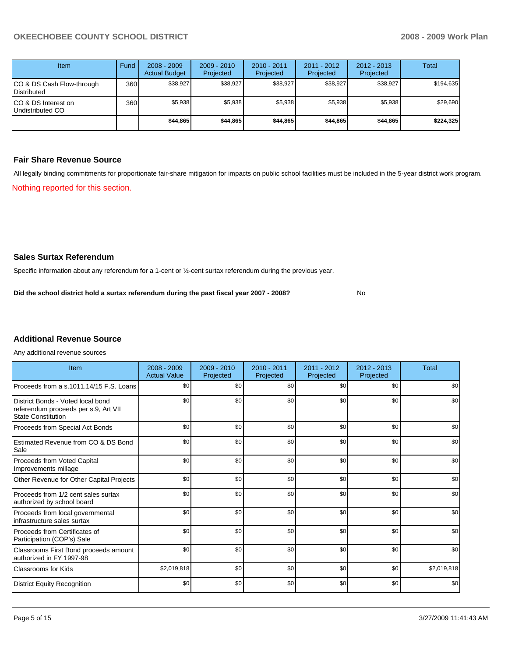| Item                                     | Fund | $2008 - 2009$<br><b>Actual Budget</b> | $2009 - 2010$<br>Projected | $2010 - 2011$<br>Projected | 2011 - 2012<br>Projected | $2012 - 2013$<br>Projected | <b>Total</b> |
|------------------------------------------|------|---------------------------------------|----------------------------|----------------------------|--------------------------|----------------------------|--------------|
| CO & DS Cash Flow-through<br>Distributed | 360  | \$38,927                              | \$38,927                   | \$38,927                   | \$38,927                 | \$38,927                   | \$194,635    |
| CO & DS Interest on<br>Undistributed CO  | 360  | \$5,938                               | \$5,938                    | \$5,938                    | \$5,938                  | \$5,938                    | \$29,690     |
|                                          |      | \$44,865                              | \$44,865                   | \$44,865                   | \$44,865                 | \$44,865                   | \$224,325    |

## **Fair Share Revenue Source**

All legally binding commitments for proportionate fair-share mitigation for impacts on public school facilities must be included in the 5-year district work program. Nothing reported for this section.

## **Sales Surtax Referendum**

Specific information about any referendum for a 1-cent or ½-cent surtax referendum during the previous year.

**Did the school district hold a surtax referendum during the past fiscal year 2007 - 2008?** No

## **Additional Revenue Source**

Any additional revenue sources

| Item                                                                                                   | $2008 - 2009$<br><b>Actual Value</b> | $2009 - 2010$<br>Projected | $2010 - 2011$<br>Projected | 2011 - 2012<br>Projected | $2012 - 2013$<br>Projected | Total       |
|--------------------------------------------------------------------------------------------------------|--------------------------------------|----------------------------|----------------------------|--------------------------|----------------------------|-------------|
| Proceeds from a s.1011.14/15 F.S. Loans                                                                | \$0                                  | \$0                        | \$0                        | \$0                      | \$0                        | \$0         |
| District Bonds - Voted local bond<br>referendum proceeds per s.9, Art VII<br><b>State Constitution</b> | \$0                                  | \$0                        | \$0                        | \$0                      | \$0                        | \$0         |
| Proceeds from Special Act Bonds                                                                        | \$0                                  | \$0                        | \$0                        | \$0                      | \$0                        | \$0         |
| Estimated Revenue from CO & DS Bond<br>Sale                                                            | \$0                                  | \$0                        | \$0                        | \$0                      | \$0                        | \$0         |
| Proceeds from Voted Capital<br>Improvements millage                                                    | \$0                                  | \$0                        | \$0                        | \$0                      | \$0                        | \$0         |
| Other Revenue for Other Capital Projects                                                               | \$0                                  | \$0                        | \$0                        | \$0                      | \$0                        | \$0         |
| Proceeds from 1/2 cent sales surtax<br>authorized by school board                                      | \$0                                  | \$0                        | \$0                        | \$0                      | \$0                        | \$0         |
| Proceeds from local governmental<br>infrastructure sales surtax                                        | \$0                                  | \$0                        | \$0                        | \$0                      | \$0                        | \$0         |
| Proceeds from Certificates of<br>Participation (COP's) Sale                                            | \$0                                  | \$0                        | \$0                        | \$0                      | \$0                        | \$0         |
| Classrooms First Bond proceeds amount<br>authorized in FY 1997-98                                      | \$0                                  | \$0                        | \$0                        | \$0                      | \$0                        | \$0         |
| <b>Classrooms for Kids</b>                                                                             | \$2,019,818                          | \$0                        | \$0                        | \$0                      | \$0                        | \$2,019,818 |
| <b>District Equity Recognition</b>                                                                     | \$0                                  | \$0                        | \$0                        | \$0                      | \$0                        | \$0         |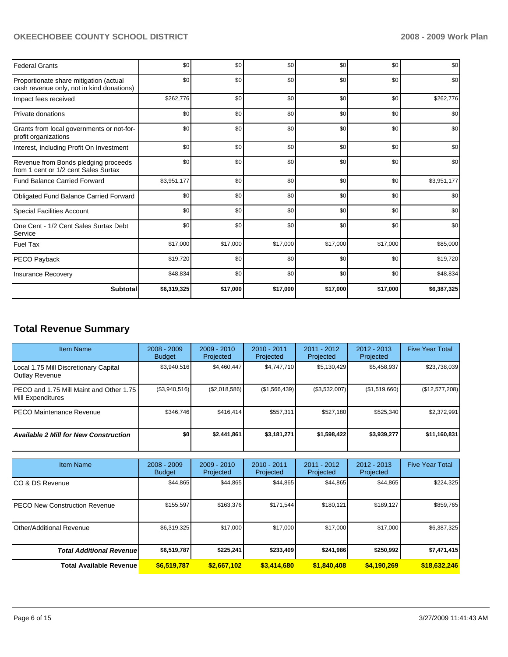## OKEECHOBEE COUNTY SCHOOL DISTRICT **2008 - 2009 Work Plan**

| <b>Federal Grants</b>                                                               | \$0         | \$0      | \$0      | \$0      | \$0      | \$0         |
|-------------------------------------------------------------------------------------|-------------|----------|----------|----------|----------|-------------|
| Proportionate share mitigation (actual<br>cash revenue only, not in kind donations) | \$0         | \$0      | \$0      | \$0      | \$0      | \$0         |
| Impact fees received                                                                | \$262,776   | \$0      | \$0      | \$0      | \$0      | \$262,776   |
| Private donations                                                                   | \$0         | \$0      | \$0      | \$0      | \$0      | \$0         |
| Grants from local governments or not-for-<br>profit organizations                   | \$0         | \$0      | \$0      | \$0      | \$0      | \$0         |
| Interest, Including Profit On Investment                                            | \$0         | \$0      | \$0      | \$0      | \$0      | \$0         |
| Revenue from Bonds pledging proceeds<br>from 1 cent or 1/2 cent Sales Surtax        | \$0         | \$0      | \$0      | \$0      | \$0      | \$0         |
| <b>Fund Balance Carried Forward</b>                                                 | \$3,951,177 | \$0      | \$0      | \$0      | \$0      | \$3,951,177 |
| Obligated Fund Balance Carried Forward                                              | \$0         | \$0      | \$0      | \$0      | \$0      | \$0         |
| <b>Special Facilities Account</b>                                                   | \$0         | \$0      | \$0      | \$0      | \$0      | \$0         |
| One Cent - 1/2 Cent Sales Surtax Debt<br>Service                                    | \$0         | \$0      | \$0      | \$0      | \$0      | \$0         |
| <b>Fuel Tax</b>                                                                     | \$17,000    | \$17,000 | \$17,000 | \$17,000 | \$17,000 | \$85,000    |
| PECO Payback                                                                        | \$19,720    | \$0      | \$0      | \$0      | \$0      | \$19,720    |
| <b>Insurance Recovery</b>                                                           | \$48,834    | \$0      | \$0      | \$0      | \$0      | \$48,834    |
| Subtotal                                                                            | \$6,319,325 | \$17,000 | \$17,000 | \$17,000 | \$17,000 | \$6,387,325 |

## **Total Revenue Summary**

| <b>Item Name</b>                                               | $2008 - 2009$<br><b>Budget</b> | $2009 - 2010$<br>Projected | $2010 - 2011$<br>Projected | $2011 - 2012$<br>Projected | $2012 - 2013$<br>Projected | <b>Five Year Total</b> |
|----------------------------------------------------------------|--------------------------------|----------------------------|----------------------------|----------------------------|----------------------------|------------------------|
| Local 1.75 Mill Discretionary Capital<br><b>Outlay Revenue</b> | \$3,940,516                    | \$4,460,447                | \$4,747,710                | \$5,130,429                | \$5,458,937                | \$23,738,039           |
| PECO and 1.75 Mill Maint and Other 1.75<br>Mill Expenditures   | (\$3,940,516)                  | (\$2,018,586)              | (\$1,566,439)              | (\$3,532,007)              | (\$1,519,660)              | (\$12,577,208)         |
| IPECO Maintenance Revenue                                      | \$346.746                      | \$416.414                  | \$557.311                  | \$527.180                  | \$525,340                  | \$2,372,991            |
| <b>Available 2 Mill for New Construction</b>                   | \$0                            | \$2,441,861                | \$3,181,271                | \$1,598,422                | \$3,939,277                | \$11,160,831           |

| <b>Item Name</b>                      | $2008 - 2009$<br><b>Budget</b> | $2009 - 2010$<br>Projected | $2010 - 2011$<br>Projected | 2011 - 2012<br>Projected | $2012 - 2013$<br>Projected | <b>Five Year Total</b> |
|---------------------------------------|--------------------------------|----------------------------|----------------------------|--------------------------|----------------------------|------------------------|
| ICO & DS Revenue                      | \$44,865                       | \$44,865                   | \$44,865                   | \$44,865                 | \$44,865                   | \$224,325              |
| <b>IPECO New Construction Revenue</b> | \$155,597                      | \$163,376                  | \$171,544                  | \$180,121                | \$189,127                  | \$859,765              |
| <b>IOther/Additional Revenue</b>      | \$6,319,325                    | \$17,000                   | \$17,000                   | \$17,000                 | \$17,000                   | \$6,387,325            |
| <b>Total Additional Revenue</b>       | \$6,519,787                    | \$225,241                  | \$233,409                  | \$241,986                | \$250.992                  | \$7,471,415            |
| Total Available Revenue               | \$6,519,787                    | \$2,667.102                | \$3,414,680                | \$1,840,408              | \$4,190,269                | \$18,632,246           |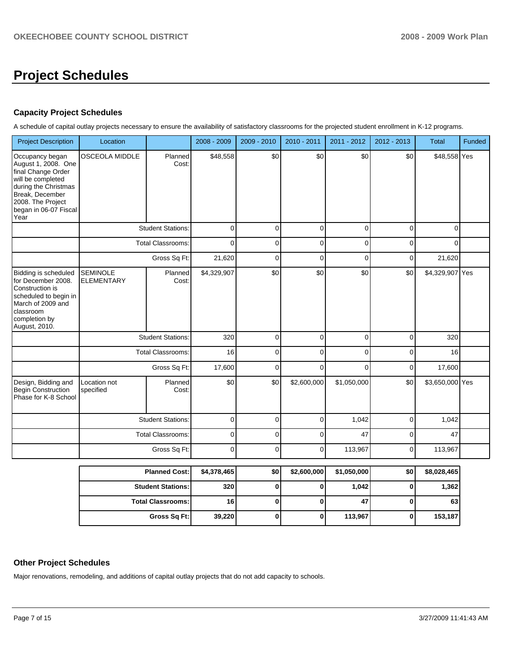## **Project Schedules**

## **Capacity Project Schedules**

A schedule of capital outlay projects necessary to ensure the availability of satisfactory classrooms for the projected student enrollment in K-12 programs.

| \$0<br>\$0<br><b>OSCEOLA MIDDLE</b><br>\$48,558<br>\$0<br>\$0<br>\$48,558 Yes<br>Planned<br>Cost:<br><b>Student Stations:</b><br>0<br>0<br>$\mathbf 0$<br>0<br>$\mathbf 0$<br>$\Omega$<br><b>Total Classrooms:</b><br>$\Omega$<br>$\Omega$<br>$\mathbf 0$<br>0<br>$\mathbf 0$<br>0<br>Gross Sq Ft:<br>21,620<br>0<br>0<br>0<br>$\mathbf 0$<br>21,620<br>\$0<br>\$0<br>\$0<br>\$0<br>\$4,329,907 Yes<br><b>SEMINOLE</b><br>\$4,329,907<br>Planned<br><b>ELEMENTARY</b><br>Cost:<br><b>Student Stations:</b><br>320<br>0<br>0<br>$\mathbf 0$<br>0<br>320<br><b>Total Classrooms:</b><br>16<br>0<br>$\mathbf 0$<br>0<br>$\mathbf 0$<br>16<br>17,600<br>17,600<br>Gross Sq Ft:<br>0<br>0<br>0<br>0<br>Planned<br>\$0<br>\$0<br>\$2,600,000<br>\$1,050,000<br>\$0<br>\$3,650,000 Yes<br>Location not<br>specified<br>Cost:<br>$\pmb{0}$<br>$\mathbf 0$<br>$\mathbf 0$<br><b>Student Stations:</b><br>1,042<br>$\mathbf 0$<br>1,042<br><b>Total Classrooms:</b><br>47<br>0<br>0<br>0<br>0<br>47<br>$\mathbf 0$<br>$\Omega$<br>Gross Sq Ft:<br>$\overline{0}$<br>113,967<br>$\overline{0}$<br>113,967 | <b>Project Description</b>                                                                                                                                                         | Location | 2008 - 2009 | 2009 - 2010 | 2010 - 2011 | 2011 - 2012 | 2012 - 2013 | <b>Total</b> | Funded |
|------------------------------------------------------------------------------------------------------------------------------------------------------------------------------------------------------------------------------------------------------------------------------------------------------------------------------------------------------------------------------------------------------------------------------------------------------------------------------------------------------------------------------------------------------------------------------------------------------------------------------------------------------------------------------------------------------------------------------------------------------------------------------------------------------------------------------------------------------------------------------------------------------------------------------------------------------------------------------------------------------------------------------------------------------------------------------------------------|------------------------------------------------------------------------------------------------------------------------------------------------------------------------------------|----------|-------------|-------------|-------------|-------------|-------------|--------------|--------|
|                                                                                                                                                                                                                                                                                                                                                                                                                                                                                                                                                                                                                                                                                                                                                                                                                                                                                                                                                                                                                                                                                                | Occupancy began<br>August 1, 2008. One<br>final Change Order<br>will be completed<br>during the Christmas<br>Break, December<br>2008. The Project<br>began in 06-07 Fiscal<br>Year |          |             |             |             |             |             |              |        |
|                                                                                                                                                                                                                                                                                                                                                                                                                                                                                                                                                                                                                                                                                                                                                                                                                                                                                                                                                                                                                                                                                                |                                                                                                                                                                                    |          |             |             |             |             |             |              |        |
|                                                                                                                                                                                                                                                                                                                                                                                                                                                                                                                                                                                                                                                                                                                                                                                                                                                                                                                                                                                                                                                                                                |                                                                                                                                                                                    |          |             |             |             |             |             |              |        |
|                                                                                                                                                                                                                                                                                                                                                                                                                                                                                                                                                                                                                                                                                                                                                                                                                                                                                                                                                                                                                                                                                                |                                                                                                                                                                                    |          |             |             |             |             |             |              |        |
|                                                                                                                                                                                                                                                                                                                                                                                                                                                                                                                                                                                                                                                                                                                                                                                                                                                                                                                                                                                                                                                                                                | Bidding is scheduled<br>for December 2008.<br>Construction is<br>scheduled to begin in<br>March of 2009 and<br>classroom<br>completion by<br>August, 2010.                         |          |             |             |             |             |             |              |        |
|                                                                                                                                                                                                                                                                                                                                                                                                                                                                                                                                                                                                                                                                                                                                                                                                                                                                                                                                                                                                                                                                                                |                                                                                                                                                                                    |          |             |             |             |             |             |              |        |
|                                                                                                                                                                                                                                                                                                                                                                                                                                                                                                                                                                                                                                                                                                                                                                                                                                                                                                                                                                                                                                                                                                |                                                                                                                                                                                    |          |             |             |             |             |             |              |        |
|                                                                                                                                                                                                                                                                                                                                                                                                                                                                                                                                                                                                                                                                                                                                                                                                                                                                                                                                                                                                                                                                                                |                                                                                                                                                                                    |          |             |             |             |             |             |              |        |
|                                                                                                                                                                                                                                                                                                                                                                                                                                                                                                                                                                                                                                                                                                                                                                                                                                                                                                                                                                                                                                                                                                | Design, Bidding and<br>Begin Construction<br>Phase for K-8 School                                                                                                                  |          |             |             |             |             |             |              |        |
|                                                                                                                                                                                                                                                                                                                                                                                                                                                                                                                                                                                                                                                                                                                                                                                                                                                                                                                                                                                                                                                                                                |                                                                                                                                                                                    |          |             |             |             |             |             |              |        |
|                                                                                                                                                                                                                                                                                                                                                                                                                                                                                                                                                                                                                                                                                                                                                                                                                                                                                                                                                                                                                                                                                                |                                                                                                                                                                                    |          |             |             |             |             |             |              |        |
|                                                                                                                                                                                                                                                                                                                                                                                                                                                                                                                                                                                                                                                                                                                                                                                                                                                                                                                                                                                                                                                                                                |                                                                                                                                                                                    |          |             |             |             |             |             |              |        |

| <b>Planned Cost:</b>       | \$4,378,465 | \$0 | \$2,600,000 | \$1,050,000 | \$0 | \$8,028,465 |
|----------------------------|-------------|-----|-------------|-------------|-----|-------------|
| <b>Student Stations:</b>   | 320         |     |             | 1,042       |     | 1,362       |
| <b>Total Classrooms: I</b> | 16          |     |             | 47          |     | 63          |
| Gross Sq Ft:               | 39,220      |     |             | 113,967     |     | 153,187     |

## **Other Project Schedules**

Major renovations, remodeling, and additions of capital outlay projects that do not add capacity to schools.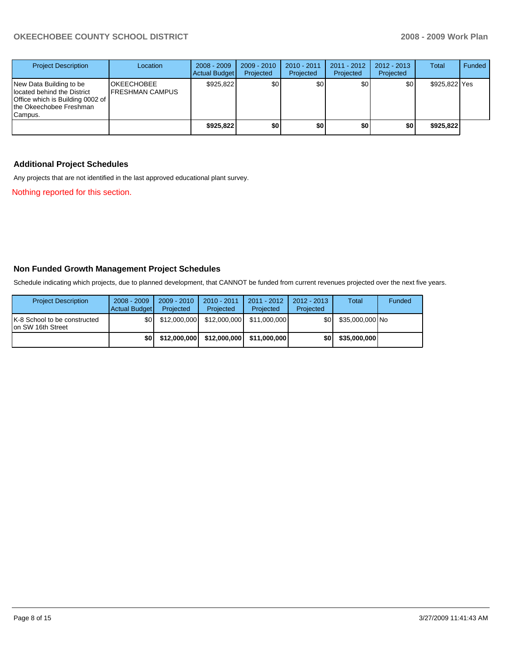## OKEECHOBEE COUNTY SCHOOL DISTRICT **2008 - 2009 Work Plan**

| <b>Project Description</b>                                                                                                        | Location                                      | $2008 - 2009$<br><b>Actual Budget</b> | $2009 - 2010$<br>Projected | 2010 - 2011<br>Projected | $2011 - 2012$<br>Projected | $2012 - 2013$<br>Projected | <b>Total</b>  | Funded |
|-----------------------------------------------------------------------------------------------------------------------------------|-----------------------------------------------|---------------------------------------|----------------------------|--------------------------|----------------------------|----------------------------|---------------|--------|
| New Data Building to be<br>located behind the District<br>Office which is Building 0002 of<br>Ithe Okeechobee Freshman<br>Campus. | <b>IOKEECHOBEE</b><br><b>IFRESHMAN CAMPUS</b> | \$925.822                             | \$0                        | \$0                      | \$0                        | \$0                        | \$925,822 Yes |        |
|                                                                                                                                   |                                               | \$925.822                             | \$0                        | \$0                      | \$0                        | \$0                        | \$925.822     |        |

## **Additional Project Schedules**

Any projects that are not identified in the last approved educational plant survey.

Nothing reported for this section.

## **Non Funded Growth Management Project Schedules**

Schedule indicating which projects, due to planned development, that CANNOT be funded from current revenues projected over the next five years.

| <b>Project Description</b>                         | $2008 - 2009$<br>Actual Budget | $2009 - 2010$<br>Projected | $2010 - 2011$<br>Projected | $2011 - 2012$<br>Projected | 2012 - 2013<br>Projected | Total           | Funded |
|----------------------------------------------------|--------------------------------|----------------------------|----------------------------|----------------------------|--------------------------|-----------------|--------|
| K-8 School to be constructed<br>Ion SW 16th Street | \$0 <sub>1</sub>               | \$12,000,000               | \$12,000,000               | \$11.000.000               | \$0 I                    | \$35,000,000 No |        |
|                                                    | \$0                            | \$12,000,000               | \$12,000,000               | \$11.000.000               | \$0                      | \$35,000,000    |        |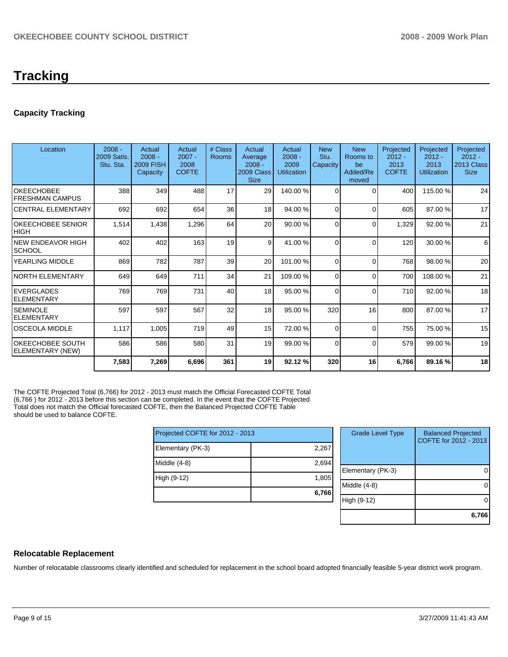## **Capacity Tracking**

| Location                                    | $2008 -$<br>2009 Satis.<br>Stu. Sta. | Actual<br>$2008 -$<br><b>2009 FISH</b><br>Capacity | Actual<br>$2007 -$<br>2008<br><b>COFTE</b> | # Class<br>Rooms | Actual<br>Average<br>$2008 -$<br>2009 Class<br><b>Size</b> | Actual<br>$2008 -$<br>2009<br><b>Utilization</b> | <b>New</b><br>Stu.<br>Capacity | <b>New</b><br>Rooms to<br>be<br>Added/Re<br>moved | Projected<br>$2012 -$<br>2013<br><b>COFTE</b> | Projected<br>$2012 -$<br>2013<br><b>Utilization</b> | Projected<br>$2012 -$<br>2013 Class<br><b>Size</b> |
|---------------------------------------------|--------------------------------------|----------------------------------------------------|--------------------------------------------|------------------|------------------------------------------------------------|--------------------------------------------------|--------------------------------|---------------------------------------------------|-----------------------------------------------|-----------------------------------------------------|----------------------------------------------------|
| <b>OKEECHOBEE</b><br><b>FRESHMAN CAMPUS</b> | 388                                  | 349                                                | 488                                        | 17               | 29                                                         | 140.00%                                          | $\Omega$                       | ſ                                                 | 400                                           | 115.00 %                                            | 24                                                 |
| <b>CENTRAL ELEMENTARY</b>                   | 692                                  | 692                                                | 654                                        | 36               | 18                                                         | 94.00 %                                          | $\Omega$                       | $\Omega$                                          | 605                                           | 87.00 %                                             | 17                                                 |
| <b>OKEECHOBEE SENIOR</b><br><b>HIGH</b>     | 1,514                                | 1,438                                              | 1,296                                      | 64               | 20                                                         | 90.00 %                                          | $\Omega$                       | $\Omega$                                          | 1,329                                         | 92.00 %                                             | 21                                                 |
| <b>NEW ENDEAVOR HIGH</b><br><b>SCHOOL</b>   | 402                                  | 402                                                | 163                                        | 19               | 9                                                          | 41.00 %                                          | $\Omega$                       | $\Omega$                                          | 120                                           | 30.00 %                                             | 6                                                  |
| YEARLING MIDDLE                             | 869                                  | 782                                                | 787                                        | 39               | 20                                                         | 101.00 %                                         | $\Omega$                       | $\Omega$                                          | 768                                           | 98.00 %                                             | 20                                                 |
| <b>NORTH ELEMENTARY</b>                     | 649                                  | 649                                                | 711                                        | 34               | 21                                                         | 109.00 %                                         | $\Omega$                       | $\Omega$                                          | 700                                           | 108.00 %                                            | 21                                                 |
| <b>EVERGLADES</b><br>ELEMENTARY             | 769                                  | 769                                                | 731                                        | 40               | 18                                                         | 95.00 %                                          | $\Omega$                       | $\Omega$                                          | 710                                           | 92.00 %                                             | 18                                                 |
| <b>SEMINOLE</b><br><b>ELEMENTARY</b>        | 597                                  | 597                                                | 567                                        | 32               | 18                                                         | 95.00 %                                          | 320                            | 16                                                | 800                                           | 87.00 %                                             | 17                                                 |
| <b>OSCEOLA MIDDLE</b>                       | 1,117                                | 1,005                                              | 719                                        | 49               | 15 <sup>1</sup>                                            | 72.00 %                                          | $\Omega$                       | $\Omega$                                          | 755                                           | 75.00 %                                             | 15                                                 |
| <b>OKEECHOBEE SOUTH</b><br>ELEMENTARY (NEW) | 586                                  | 586                                                | 580                                        | 31               | 19                                                         | 99.00 %                                          | $\Omega$                       | $\Omega$                                          | 579                                           | 99.00 %                                             | 19                                                 |
|                                             | 7,583                                | 7,269                                              | 6,696                                      | 361              | 19                                                         | 92.12%                                           | 320                            | 16                                                | 6,766                                         | 89.16 %                                             | 18                                                 |

The COFTE Projected Total (6,766) for 2012 - 2013 must match the Official Forecasted COFTE Total (6,766 ) for 2012 - 2013 before this section can be completed. In the event that the COFTE Projected Total does not match the Official forecasted COFTE, then the Balanced Projected COFTE Table should be used to balance COFTE.

| Projected COFTE for 2012 - 2013 |       |   |  |  |  |
|---------------------------------|-------|---|--|--|--|
| Elementary (PK-3)               | 2,267 |   |  |  |  |
| $ $ Middle $(4-8)$              | 2,694 | E |  |  |  |
| High (9-12)                     | 1,805 | M |  |  |  |
|                                 | 6,766 |   |  |  |  |

| <b>Grade Level Type</b> | <b>Balanced Projected</b><br>COFTE for 2012 - 2013 |
|-------------------------|----------------------------------------------------|
| Elementary (PK-3)       |                                                    |
| Middle (4-8)            |                                                    |
| High (9-12)             |                                                    |
|                         | 6,766                                              |

## **Relocatable Replacement**

Number of relocatable classrooms clearly identified and scheduled for replacement in the school board adopted financially feasible 5-year district work program.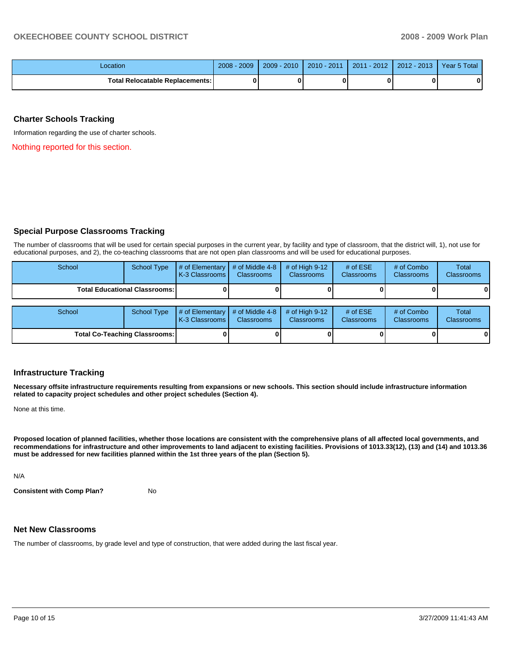| Location                               | 2009<br>$2008 -$ | $2009 - 2010$ | $2010 - 2011$ | 2011 - 2012 | $2012 - 2013$ | Year 5 Total |
|----------------------------------------|------------------|---------------|---------------|-------------|---------------|--------------|
| <b>Total Relocatable Replacements:</b> |                  |               |               |             |               | 0            |

## **Charter Schools Tracking**

Information regarding the use of charter schools.

Nothing reported for this section.

## **Special Purpose Classrooms Tracking**

The number of classrooms that will be used for certain special purposes in the current year, by facility and type of classroom, that the district will, 1), not use for educational purposes, and 2), the co-teaching classrooms that are not open plan classrooms and will be used for educational purposes.

| School                               | School Type | # of Elementary  <br>K-3 Classrooms   | # of Middle 4-8<br><b>Classrooms</b> | # of High $9-12$<br><b>Classrooms</b> | # of $ESE$<br>Classrooms | # of Combo<br><b>Classrooms</b> | Total<br><b>Classrooms</b> |
|--------------------------------------|-------------|---------------------------------------|--------------------------------------|---------------------------------------|--------------------------|---------------------------------|----------------------------|
| <b>Total Educational Classrooms:</b> |             |                                       |                                      |                                       |                          |                                 | 01                         |
|                                      |             |                                       |                                      |                                       |                          |                                 |                            |
| School                               | School Type | $#$ of Elementary<br>K-3 Classrooms I | # of Middle 4-8<br><b>Classrooms</b> | $#$ of High 9-12<br><b>Classrooms</b> | # of $ESE$<br>Classrooms | # of Combo<br><b>Classrooms</b> | Total<br><b>Classrooms</b> |
| <b>Total Co-Teaching Classrooms:</b> |             |                                       |                                      |                                       |                          | 0                               | 01                         |

### **Infrastructure Tracking**

**Necessary offsite infrastructure requirements resulting from expansions or new schools. This section should include infrastructure information related to capacity project schedules and other project schedules (Section 4).** 

None at this time.

**Proposed location of planned facilities, whether those locations are consistent with the comprehensive plans of all affected local governments, and recommendations for infrastructure and other improvements to land adjacent to existing facilities. Provisions of 1013.33(12), (13) and (14) and 1013.36 must be addressed for new facilities planned within the 1st three years of the plan (Section 5).** 

N/A

**Consistent with Comp Plan?** No

### **Net New Classrooms**

The number of classrooms, by grade level and type of construction, that were added during the last fiscal year.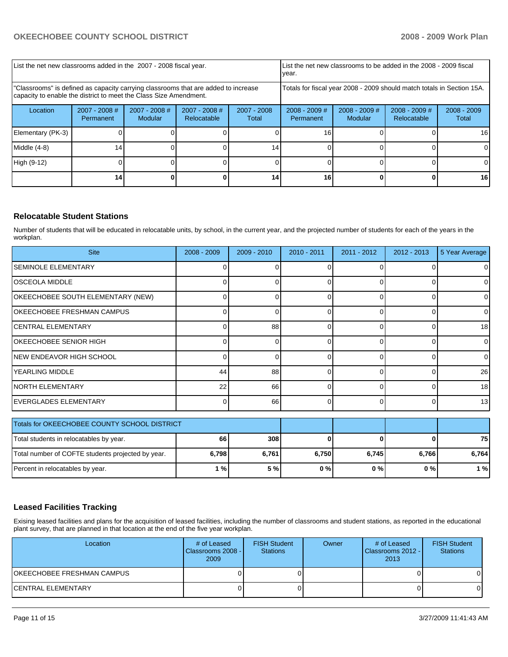| List the net new classrooms added in the 2007 - 2008 fiscal year.                                                                                       | List the net new classrooms to be added in the 2008 - 2009 fiscal<br>year. |                                   |                                |                        |                                                                        |                            |                                |                        |
|---------------------------------------------------------------------------------------------------------------------------------------------------------|----------------------------------------------------------------------------|-----------------------------------|--------------------------------|------------------------|------------------------------------------------------------------------|----------------------------|--------------------------------|------------------------|
| "Classrooms" is defined as capacity carrying classrooms that are added to increase<br>capacity to enable the district to meet the Class Size Amendment. |                                                                            |                                   |                                |                        | Totals for fiscal year 2008 - 2009 should match totals in Section 15A. |                            |                                |                        |
| Location                                                                                                                                                | $2007 - 2008$ #<br>Permanent                                               | $2007 - 2008$ #<br><b>Modular</b> | $2007 - 2008$ #<br>Relocatable | $2007 - 2008$<br>Total | $2008 - 2009$ #<br>Permanent                                           | $2008 - 2009$ #<br>Modular | $2008 - 2009$ #<br>Relocatable | $2008 - 2009$<br>Total |
| Elementary (PK-3)                                                                                                                                       |                                                                            |                                   |                                |                        | 16                                                                     |                            |                                | 16 <sup>1</sup>        |
| Middle (4-8)                                                                                                                                            | 14                                                                         |                                   |                                | 14 <sub>1</sub>        |                                                                        |                            |                                |                        |
| High (9-12)                                                                                                                                             |                                                                            |                                   |                                |                        |                                                                        |                            |                                | ΩI                     |
|                                                                                                                                                         | 14.                                                                        |                                   |                                | 14                     | 16                                                                     |                            |                                | 161                    |

## **Relocatable Student Stations**

Number of students that will be educated in relocatable units, by school, in the current year, and the projected number of students for each of the years in the workplan.

| <b>Site</b>                                       | $2008 - 2009$ | $2009 - 2010$ | $2010 - 2011$ | $2011 - 2012$ | $2012 - 2013$ | 5 Year Average |
|---------------------------------------------------|---------------|---------------|---------------|---------------|---------------|----------------|
| <b>SEMINOLE ELEMENTARY</b>                        |               |               |               | C             |               | 0              |
| IOSCEOLA MIDDLE                                   |               |               |               | 0             | 0             | 0              |
| OKEECHOBEE SOUTH ELEMENTARY (NEW)                 |               | U             | ŋ             | $\Omega$      | 0             | $\Omega$       |
| OKEECHOBEE FRESHMAN CAMPUS                        | ∩             | 0             | 0             | $\Omega$      | 0             | $\overline{0}$ |
| ICENTRAL ELEMENTARY                               | $\Omega$      | 88            | $\Omega$      | $\Omega$      | 0             | 18             |
| OKEECHOBEE SENIOR HIGH                            | ∩             | $\Omega$      | ŋ             | $\Omega$      | 0             | $\overline{0}$ |
| <b>INEW ENDEAVOR HIGH SCHOOL</b>                  | ∩             | 0             | $\Omega$      | $\Omega$      | 0             | $\Omega$       |
| lYEARLING MIDDLE                                  | 44            | 88            |               | $\Omega$      |               | 26             |
| INORTH ELEMENTARY                                 | 22            | 66            | 0             | $\Omega$      | 0             | 18             |
| EVERGLADES ELEMENTARY                             | ∩             | 66            | 0             | $\Omega$      | 0             | 13             |
| Totals for OKEECHOBEE COUNTY SCHOOL DISTRICT      |               |               |               |               |               |                |
| Total students in relocatables by year.           | 66            | 308           | ŋ             | 0             |               | 75             |
| Total number of COFTE students projected by year. | 6,798         | 6,761         | 6,750         | 6,745         | 6,766         | 6,764          |
| Percent in relocatables by year.                  | 1%            | 5 %           | $0\%$         | $0\%$         | $0\%$         | 1%             |

## **Leased Facilities Tracking**

Exising leased facilities and plans for the acquisition of leased facilities, including the number of classrooms and student stations, as reported in the educational plant survey, that are planned in that location at the end of the five year workplan.

| Location                   | # of Leased<br>Classrooms 2008 -<br>2009 | <b>FISH Student</b><br><b>Stations</b> | Owner | # of Leased<br>Classrooms 2012 -<br>2013 | <b>FISH Student</b><br><b>Stations</b> |
|----------------------------|------------------------------------------|----------------------------------------|-------|------------------------------------------|----------------------------------------|
| OKEECHOBEE FRESHMAN CAMPUS |                                          |                                        |       |                                          |                                        |
| <b>CENTRAL ELEMENTARY</b>  |                                          |                                        |       |                                          | 01                                     |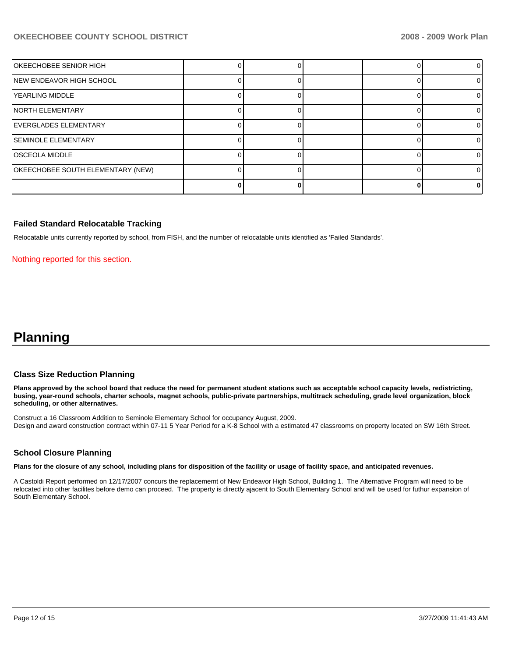## **OKEECHOBEE COUNTY SCHOOL DISTRICT 2008 - 2009 Work Plan**

| OKEECHOBEE SENIOR HIGH            |  |  | 0  |
|-----------------------------------|--|--|----|
| NEW ENDEAVOR HIGH SCHOOL          |  |  | ΩI |
| YEARLING MIDDLE                   |  |  |    |
| INORTH ELEMENTARY                 |  |  |    |
| IEVERGLADES ELEMENTARY            |  |  |    |
| <b>ISEMINOLE ELEMENTARY</b>       |  |  |    |
| <b>OSCEOLA MIDDLE</b>             |  |  |    |
| OKEECHOBEE SOUTH ELEMENTARY (NEW) |  |  |    |
|                                   |  |  | o  |

### **Failed Standard Relocatable Tracking**

Relocatable units currently reported by school, from FISH, and the number of relocatable units identified as 'Failed Standards'.

Nothing reported for this section.

## **Planning**

#### **Class Size Reduction Planning**

**Plans approved by the school board that reduce the need for permanent student stations such as acceptable school capacity levels, redistricting, busing, year-round schools, charter schools, magnet schools, public-private partnerships, multitrack scheduling, grade level organization, block scheduling, or other alternatives.** 

Construct a 16 Classroom Addition to Seminole Elementary School for occupancy August, 2009. Design and award construction contract within 07-11 5 Year Period for a K-8 School with a estimated 47 classrooms on property located on SW 16th Street.

### **School Closure Planning**

**Plans for the closure of any school, including plans for disposition of the facility or usage of facility space, and anticipated revenues.** 

A Castoldi Report performed on 12/17/2007 concurs the replacememt of New Endeavor High School, Building 1. The Alternative Program will need to be relocated into other facilites before demo can proceed. The property is directly ajacent to South Elementary School and will be used for futhur expansion of South Elementary School.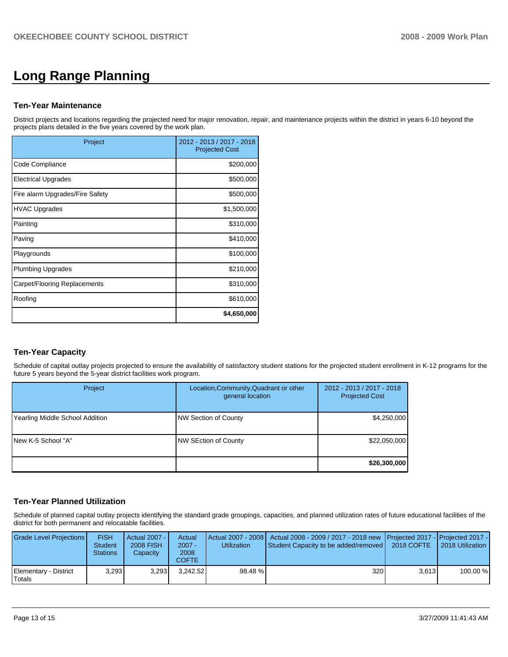# **Long Range Planning**

## **Ten-Year Maintenance**

District projects and locations regarding the projected need for major renovation, repair, and maintenance projects within the district in years 6-10 beyond the projects plans detailed in the five years covered by the work plan.

| Project                         | 2012 - 2013 / 2017 - 2018<br><b>Projected Cost</b> |
|---------------------------------|----------------------------------------------------|
| Code Compliance                 | \$200,000                                          |
| <b>Electrical Upgrades</b>      | \$500,000                                          |
| Fire alarm Upgrades/Fire Safety | \$500,000                                          |
| <b>HVAC Upgrades</b>            | \$1,500,000                                        |
| Painting                        | \$310,000                                          |
| Paving                          | \$410,000                                          |
| Playgrounds                     | \$100,000                                          |
| <b>Plumbing Upgrades</b>        | \$210,000                                          |
| Carpet/Flooring Replacements    | \$310,000                                          |
| Roofing                         | \$610,000                                          |
|                                 | \$4,650,000                                        |

## **Ten-Year Capacity**

Schedule of capital outlay projects projected to ensure the availability of satisfactory student stations for the projected student enrollment in K-12 programs for the future 5 years beyond the 5-year district facilities work program.

| Project                         | Location, Community, Quadrant or other<br>general location | 2012 - 2013 / 2017 - 2018<br><b>Projected Cost</b> |
|---------------------------------|------------------------------------------------------------|----------------------------------------------------|
| Yearling Middle School Addition | NW Section of County                                       | \$4,250,000                                        |
| INew K-5 School "A"             | NW SEction of County                                       | \$22,050,000                                       |
|                                 |                                                            | \$26,300,000                                       |

## **Ten-Year Planned Utilization**

Schedule of planned capital outlay projects identifying the standard grade groupings, capacities, and planned utilization rates of future educational facilities of the district for both permanent and relocatable facilities.

| Grade Level Projections         | <b>FISH</b><br><b>Student</b><br><b>Stations</b> | Actual 2007 -<br>2008 FISH<br>Capacity | Actual<br>$2007 -$<br>2008<br>COFTE | <b>Utilization</b> | Actual 2007 - 2008   Actual 2008 - 2009 / 2017 - 2018 new   Projected 2017 -   Projected 2017 -  <br>Student Capacity to be added/removed | 2018 COFTE | 2018 Utilization |
|---------------------------------|--------------------------------------------------|----------------------------------------|-------------------------------------|--------------------|-------------------------------------------------------------------------------------------------------------------------------------------|------------|------------------|
| Elementary - District<br>Totals | 3.293                                            | 3.293                                  | 3.242.52                            | 98.48 %            | 320                                                                                                                                       | 3.613      | 100.00 %         |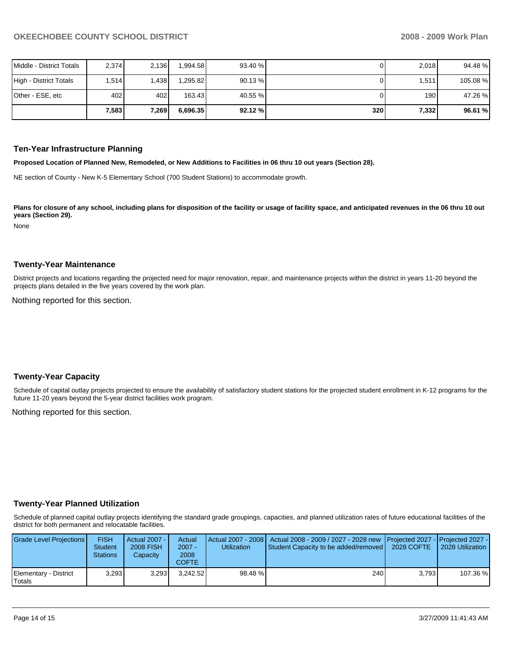| Middle - District Totals | 2,374 | 2.136        | .994.58  | 93.40 % |     | 2,018 | 94.48 %  |
|--------------------------|-------|--------------|----------|---------|-----|-------|----------|
| High - District Totals   | 1.514 | .438         | I.295.82 | 90.13%  |     | 1,511 | 105.08 % |
| Other - ESE, etc         | 402   | 402 <b>1</b> | 163.43   | 40.55 % |     | 190 I | 47.26 %  |
|                          | 7,583 | 7,269        | 6.696.35 | 92.12%  | 320 | 7,332 | 96.61 %  |

#### **Ten-Year Infrastructure Planning**

**Proposed Location of Planned New, Remodeled, or New Additions to Facilities in 06 thru 10 out years (Section 28).** 

NE section of County - New K-5 Elementary School (700 Student Stations) to accommodate growth.

Plans for closure of any school, including plans for disposition of the facility or usage of facility space, and anticipated revenues in the 06 thru 10 out **years (Section 29).** 

None

#### **Twenty-Year Maintenance**

District projects and locations regarding the projected need for major renovation, repair, and maintenance projects within the district in years 11-20 beyond the projects plans detailed in the five years covered by the work plan.

Nothing reported for this section.

### **Twenty-Year Capacity**

Schedule of capital outlay projects projected to ensure the availability of satisfactory student stations for the projected student enrollment in K-12 programs for the future 11-20 years beyond the 5-year district facilities work program.

Nothing reported for this section.

### **Twenty-Year Planned Utilization**

Schedule of planned capital outlay projects identifying the standard grade groupings, capacities, and planned utilization rates of future educational facilities of the district for both permanent and relocatable facilities.

| Grade Level Projections         | <b>FISH</b><br><b>Student</b><br><b>Stations</b> | Actual 2007 - I<br>2008 FISH<br>Capacity | Actual<br>$2007 -$<br>2008<br>COFTE | <b>Utilization</b> | Actual 2007 - 2008   Actual 2008 - 2009 / 2027 - 2028 new   Projected 2027 -   Projected 2027 -<br>Student Capacity to be added/removed   2028 COFTE |       | 2028 Utilization |
|---------------------------------|--------------------------------------------------|------------------------------------------|-------------------------------------|--------------------|------------------------------------------------------------------------------------------------------------------------------------------------------|-------|------------------|
| Elementary - District<br>Totals | 3.293                                            | 3.293                                    | 3.242.52                            | 98.48 %            | 240 <b>1</b>                                                                                                                                         | 3.793 | 107.36 %         |